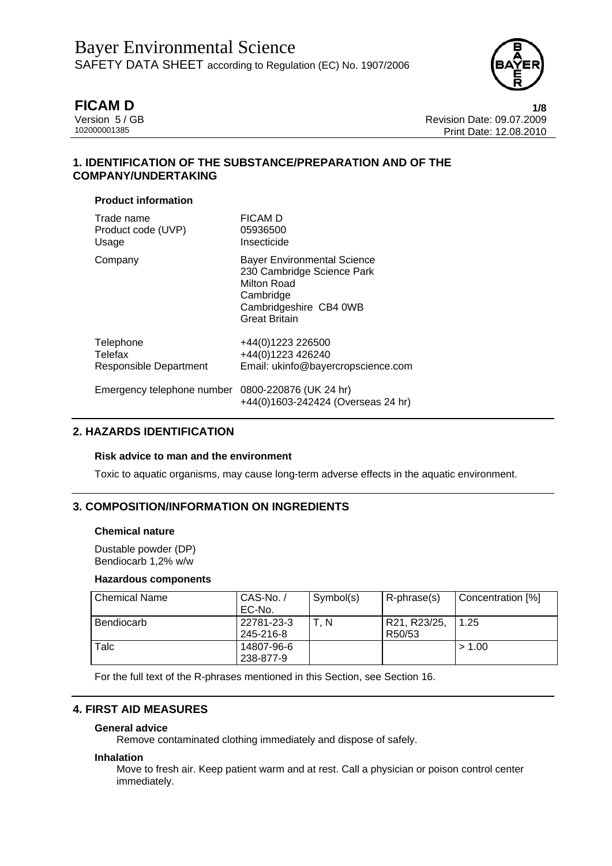

**FICAM D 1/8** Version 5 / GB Revision Date: 09.07.2009 Print Date: 12.08.2010

# **1. IDENTIFICATION OF THE SUBSTANCE/PREPARATION AND OF THE COMPANY/UNDERTAKING**

### **Product information**

| Trade name                                        | <b>FICAM D</b>                                                                                                                                 |
|---------------------------------------------------|------------------------------------------------------------------------------------------------------------------------------------------------|
| Product code (UVP)                                | 05936500                                                                                                                                       |
| Usage                                             | Insecticide                                                                                                                                    |
| Company                                           | <b>Bayer Environmental Science</b><br>230 Cambridge Science Park<br>Milton Road<br>Cambridge<br>Cambridgeshire CB4 0WB<br><b>Great Britain</b> |
| Telephone                                         | +44(0)1223 226500                                                                                                                              |
| Telefax                                           | +44(0)1223 426240                                                                                                                              |
| Responsible Department                            | Email: ukinfo@bayercropscience.com                                                                                                             |
| Emergency telephone number 0800-220876 (UK 24 hr) | +44(0)1603-242424 (Overseas 24 hr)                                                                                                             |

# **2. HAZARDS IDENTIFICATION**

### **Risk advice to man and the environment**

Toxic to aquatic organisms, may cause long-term adverse effects in the aquatic environment.

# **3. COMPOSITION/INFORMATION ON INGREDIENTS**

#### **Chemical nature**

Dustable powder (DP) Bendiocarb 1,2% w/w

#### **Hazardous components**

| Chemical Name     | CAS-No./<br>EC-No.      | Symbol(s) | R-phrase(s)                         | Concentration [%] |
|-------------------|-------------------------|-----------|-------------------------------------|-------------------|
| <b>Bendiocarb</b> | 22781-23-3<br>245-216-8 | T. N      | R21, R23/25,<br>R <sub>50</sub> /53 | 1.25              |
| Talc              | 14807-96-6<br>238-877-9 |           |                                     | > 1.00            |

For the full text of the R-phrases mentioned in this Section, see Section 16.

# **4. FIRST AID MEASURES**

#### **General advice**

Remove contaminated clothing immediately and dispose of safely.

#### **Inhalation**

Move to fresh air. Keep patient warm and at rest. Call a physician or poison control center immediately.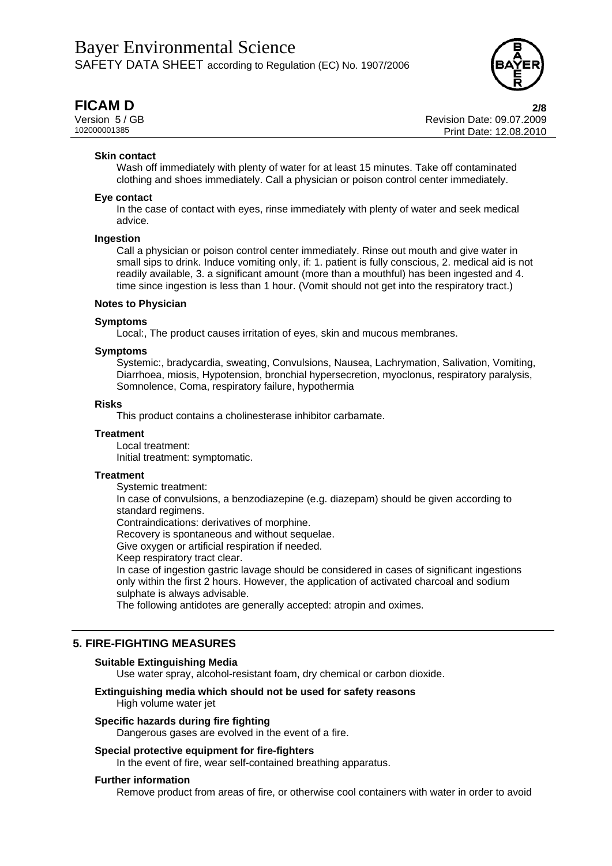

**FICAM D 2/8** Version 5 / GB Revision Date: 09.07.2009 Print Date: 12.08.2010

#### **Skin contact**

Wash off immediately with plenty of water for at least 15 minutes. Take off contaminated clothing and shoes immediately. Call a physician or poison control center immediately.

#### **Eye contact**

In the case of contact with eyes, rinse immediately with plenty of water and seek medical advice.

#### **Ingestion**

Call a physician or poison control center immediately. Rinse out mouth and give water in small sips to drink. Induce vomiting only, if: 1. patient is fully conscious, 2. medical aid is not readily available, 3. a significant amount (more than a mouthful) has been ingested and 4. time since ingestion is less than 1 hour. (Vomit should not get into the respiratory tract.)

#### **Notes to Physician**

#### **Symptoms**

Local:, The product causes irritation of eyes, skin and mucous membranes.

#### **Symptoms**

Systemic:, bradycardia, sweating, Convulsions, Nausea, Lachrymation, Salivation, Vomiting, Diarrhoea, miosis, Hypotension, bronchial hypersecretion, myoclonus, respiratory paralysis, Somnolence, Coma, respiratory failure, hypothermia

#### **Risks**

This product contains a cholinesterase inhibitor carbamate.

#### **Treatment**

Local treatment:

Initial treatment: symptomatic.

#### **Treatment**

Systemic treatment:

In case of convulsions, a benzodiazepine (e.g. diazepam) should be given according to standard regimens.

Contraindications: derivatives of morphine.

Recovery is spontaneous and without sequelae.

Give oxygen or artificial respiration if needed.

Keep respiratory tract clear.

In case of ingestion gastric lavage should be considered in cases of significant ingestions only within the first 2 hours. However, the application of activated charcoal and sodium sulphate is always advisable.

The following antidotes are generally accepted: atropin and oximes.

### **5. FIRE-FIGHTING MEASURES**

#### **Suitable Extinguishing Media**

Use water spray, alcohol-resistant foam, dry chemical or carbon dioxide.

#### **Extinguishing media which should not be used for safety reasons**  High volume water jet

#### **Specific hazards during fire fighting**

Dangerous gases are evolved in the event of a fire.

#### **Special protective equipment for fire-fighters**

In the event of fire, wear self-contained breathing apparatus.

#### **Further information**

Remove product from areas of fire, or otherwise cool containers with water in order to avoid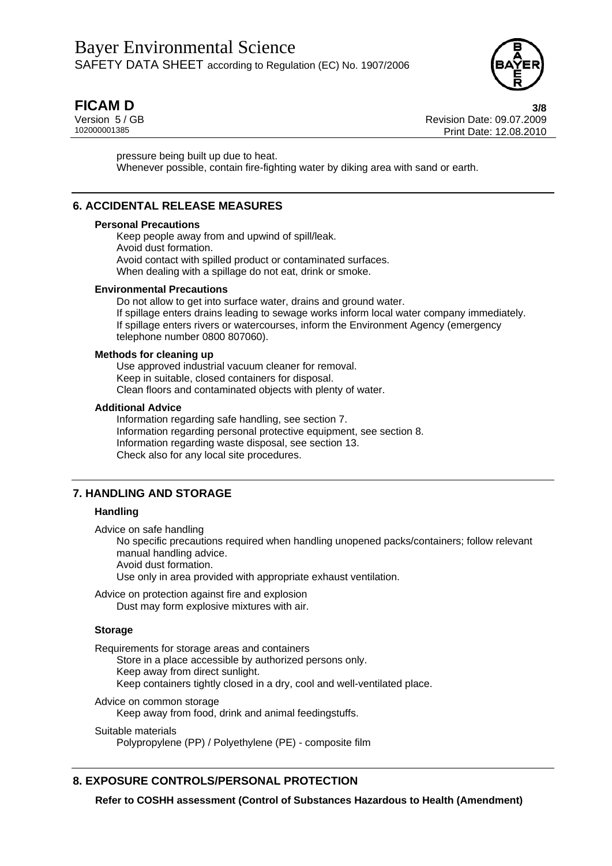

**FICAM D 3/8** Version 5 / GB Revision Date: 09.07.2009 Print Date: 12.08.2010

pressure being built up due to heat. Whenever possible, contain fire-fighting water by diking area with sand or earth.

# **6. ACCIDENTAL RELEASE MEASURES**

#### **Personal Precautions**

Keep people away from and upwind of spill/leak. Avoid dust formation. Avoid contact with spilled product or contaminated surfaces. When dealing with a spillage do not eat, drink or smoke.

#### **Environmental Precautions**

Do not allow to get into surface water, drains and ground water. If spillage enters drains leading to sewage works inform local water company immediately. If spillage enters rivers or watercourses, inform the Environment Agency (emergency telephone number 0800 807060).

#### **Methods for cleaning up**

Use approved industrial vacuum cleaner for removal. Keep in suitable, closed containers for disposal. Clean floors and contaminated objects with plenty of water.

#### **Additional Advice**

Information regarding safe handling, see section 7. Information regarding personal protective equipment, see section 8. Information regarding waste disposal, see section 13. Check also for any local site procedures.

### **7. HANDLING AND STORAGE**

#### **Handling**

Advice on safe handling

No specific precautions required when handling unopened packs/containers; follow relevant manual handling advice.

Avoid dust formation.

Use only in area provided with appropriate exhaust ventilation.

Advice on protection against fire and explosion Dust may form explosive mixtures with air.

#### **Storage**

Requirements for storage areas and containers

Store in a place accessible by authorized persons only. Keep away from direct sunlight. Keep containers tightly closed in a dry, cool and well-ventilated place.

Advice on common storage

Keep away from food, drink and animal feedingstuffs.

#### Suitable materials

Polypropylene (PP) / Polyethylene (PE) - composite film

# **8. EXPOSURE CONTROLS/PERSONAL PROTECTION**

**Refer to COSHH assessment (Control of Substances Hazardous to Health (Amendment)**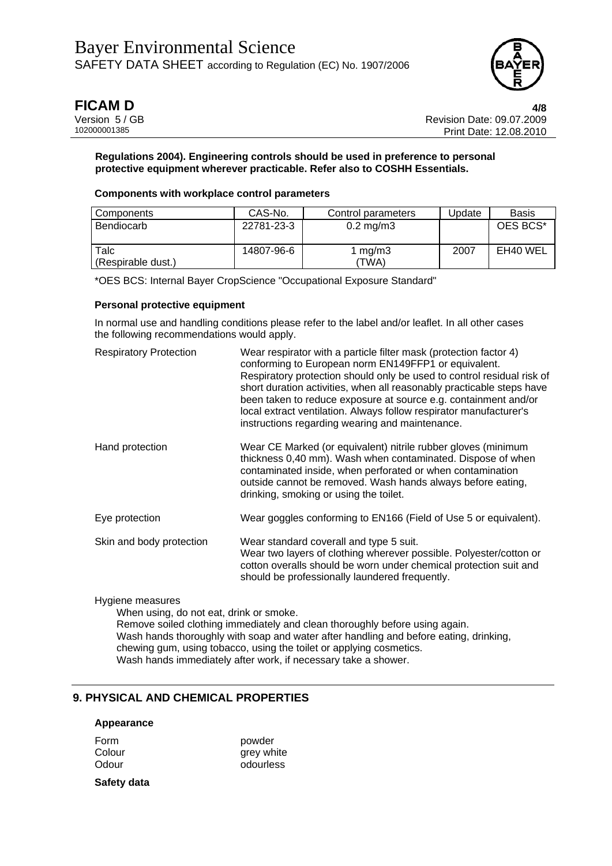

**FICAM D 4/8** Version 5 / GB Revision Date: 09.07.2009 Print Date: 12.08.2010

#### **Regulations 2004). Engineering controls should be used in preference to personal protective equipment wherever practicable. Refer also to COSHH Essentials.**

#### **Components with workplace control parameters**

| Components         | CAS-No.    | Control parameters   | Jpdate | <b>Basis</b> |
|--------------------|------------|----------------------|--------|--------------|
| Bendiocarb         | 22781-23-3 | $0.2 \text{ mg/m}$ 3 |        | OES BCS*     |
| Talc               | 14807-96-6 | mg/m3                | 2007   | EH40 WEL     |
| (Respirable dust.) |            | (TWA)                |        |              |

\*OES BCS: Internal Bayer CropScience "Occupational Exposure Standard"

#### **Personal protective equipment**

In normal use and handling conditions please refer to the label and/or leaflet. In all other cases the following recommendations would apply.

| <b>Respiratory Protection</b> | Wear respirator with a particle filter mask (protection factor 4)<br>conforming to European norm EN149FFP1 or equivalent.<br>Respiratory protection should only be used to control residual risk of<br>short duration activities, when all reasonably practicable steps have<br>been taken to reduce exposure at source e.g. containment and/or<br>local extract ventilation. Always follow respirator manufacturer's<br>instructions regarding wearing and maintenance. |
|-------------------------------|--------------------------------------------------------------------------------------------------------------------------------------------------------------------------------------------------------------------------------------------------------------------------------------------------------------------------------------------------------------------------------------------------------------------------------------------------------------------------|
| Hand protection               | Wear CE Marked (or equivalent) nitrile rubber gloves (minimum<br>thickness 0,40 mm). Wash when contaminated. Dispose of when<br>contaminated inside, when perforated or when contamination<br>outside cannot be removed. Wash hands always before eating,<br>drinking, smoking or using the toilet.                                                                                                                                                                      |
| Eye protection                | Wear goggles conforming to EN166 (Field of Use 5 or equivalent).                                                                                                                                                                                                                                                                                                                                                                                                         |
| Skin and body protection      | Wear standard coverall and type 5 suit.<br>Wear two layers of clothing wherever possible. Polyester/cotton or<br>cotton overalls should be worn under chemical protection suit and<br>should be professionally laundered frequently.                                                                                                                                                                                                                                     |

### Hygiene measures

When using, do not eat, drink or smoke.

Remove soiled clothing immediately and clean thoroughly before using again. Wash hands thoroughly with soap and water after handling and before eating, drinking, chewing gum, using tobacco, using the toilet or applying cosmetics. Wash hands immediately after work, if necessary take a shower.

# **9. PHYSICAL AND CHEMICAL PROPERTIES**

#### **Appearance**

Form powder Colour grey white Odour odourless

**Safety data**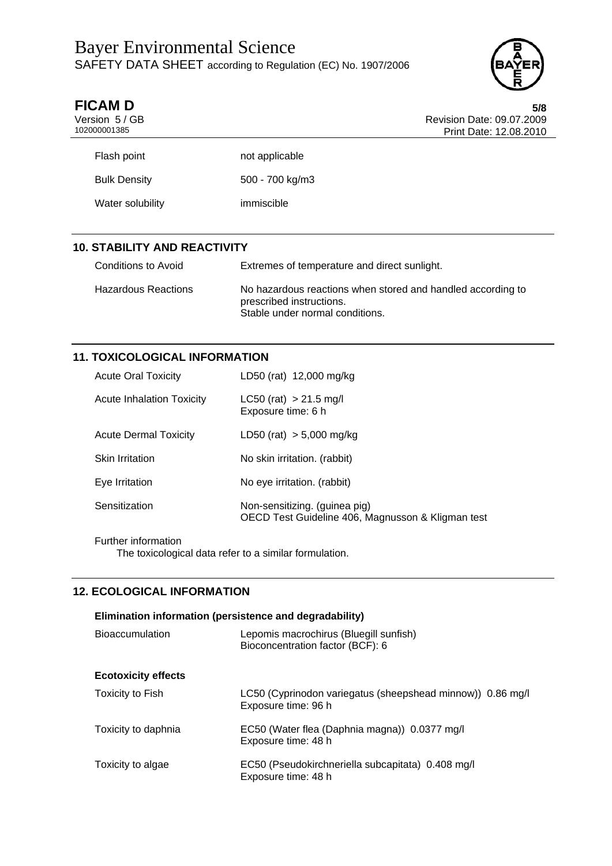# Bayer Environmental Science SAFETY DATA SHEET according to Regulation (EC) No. 1907/2006



| <b>FICAM D</b> | 5/8                       |
|----------------|---------------------------|
| Version 5/GB   | Revision Date: 09.07.2009 |
| 102000001385   | Print Date: 12.08.2010    |
|                |                           |

| Flash point         | not applicable  |
|---------------------|-----------------|
| <b>Bulk Density</b> | 500 - 700 kg/m3 |
| Water solubility    | immiscible      |

# **10. STABILITY AND REACTIVITY**

| Conditions to Avoid | Extremes of temperature and direct sunlight.                                                                               |
|---------------------|----------------------------------------------------------------------------------------------------------------------------|
| Hazardous Reactions | No hazardous reactions when stored and handled according to<br>prescribed instructions.<br>Stable under normal conditions. |

# **11. TOXICOLOGICAL INFORMATION**

| <b>Acute Oral Toxicity</b>       | LD50 (rat) 12,000 mg/kg                                                            |
|----------------------------------|------------------------------------------------------------------------------------|
| <b>Acute Inhalation Toxicity</b> | $LC50$ (rat) > 21.5 mg/l<br>Exposure time: 6 h                                     |
| <b>Acute Dermal Toxicity</b>     | $LD50$ (rat) $> 5,000$ mg/kg                                                       |
| <b>Skin Irritation</b>           | No skin irritation. (rabbit)                                                       |
| Eye Irritation                   | No eye irritation. (rabbit)                                                        |
| Sensitization                    | Non-sensitizing. (guinea pig)<br>OECD Test Guideline 406, Magnusson & Kligman test |

Further information The toxicological data refer to a similar formulation.

# **12. ECOLOGICAL INFORMATION**

| Elimination information (persistence and degradability) |                                                                                   |  |  |
|---------------------------------------------------------|-----------------------------------------------------------------------------------|--|--|
| <b>Bioaccumulation</b>                                  | Lepomis macrochirus (Bluegill sunfish)<br>Bioconcentration factor (BCF): 6        |  |  |
| <b>Ecotoxicity effects</b>                              |                                                                                   |  |  |
| Toxicity to Fish                                        | LC50 (Cyprinodon variegatus (sheepshead minnow)) 0.86 mg/l<br>Exposure time: 96 h |  |  |
| Toxicity to daphnia                                     | EC50 (Water flea (Daphnia magna)) 0.0377 mg/l<br>Exposure time: 48 h              |  |  |
| Toxicity to algae                                       | EC50 (Pseudokirchneriella subcapitata) 0.408 mg/l<br>Exposure time: 48 h          |  |  |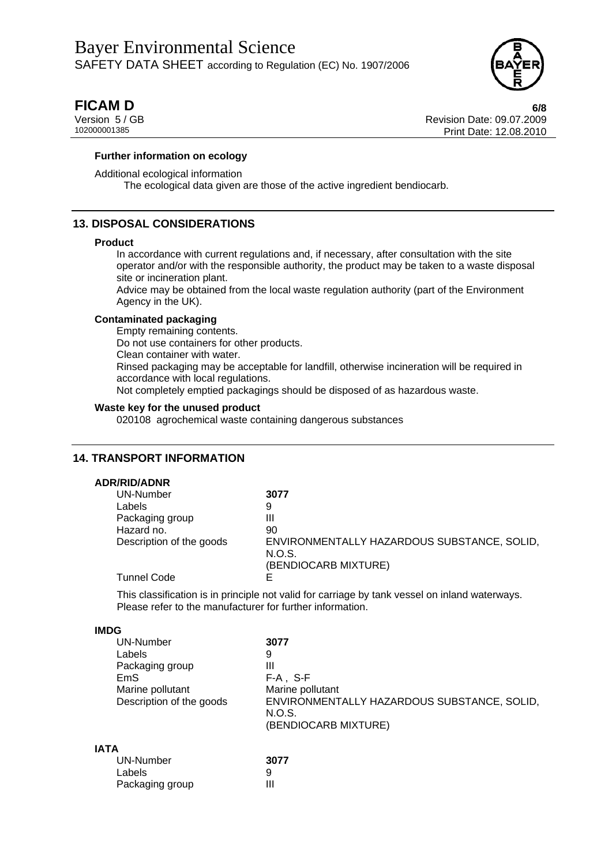

**FICAM D 6/8** Version 5 / GB Revision Date: 09.07.2009 Print Date: 12.08.2010

#### **Further information on ecology**

Additional ecological information The ecological data given are those of the active ingredient bendiocarb.

# **13. DISPOSAL CONSIDERATIONS**

#### **Product**

In accordance with current regulations and, if necessary, after consultation with the site operator and/or with the responsible authority, the product may be taken to a waste disposal site or incineration plant.

Advice may be obtained from the local waste regulation authority (part of the Environment Agency in the UK).

#### **Contaminated packaging**

Empty remaining contents.

Do not use containers for other products.

Clean container with water.

Rinsed packaging may be acceptable for landfill, otherwise incineration will be required in accordance with local regulations.

Not completely emptied packagings should be disposed of as hazardous waste.

#### **Waste key for the unused product**

020108 agrochemical waste containing dangerous substances

### **14. TRANSPORT INFORMATION**

### **ADR/RID/ADNR**

| UN-Number                | 3077                                        |
|--------------------------|---------------------------------------------|
| Labels                   | 9                                           |
| Packaging group          | Ш                                           |
| Hazard no.               | 90                                          |
| Description of the goods | ENVIRONMENTALLY HAZARDOUS SUBSTANCE, SOLID, |
|                          | N.O.S.                                      |
|                          | (BENDIOCARB MIXTURE)                        |
| <b>Tunnel Code</b>       |                                             |
|                          |                                             |

This classification is in principle not valid for carriage by tank vessel on inland waterways. Please refer to the manufacturer for further information.

#### **IMDG**

| <b>UN-Number</b>         | 3077                                        |
|--------------------------|---------------------------------------------|
| Labels                   | 9                                           |
| Packaging group          | Ш                                           |
| EmS                      | $F-A$ , S-F                                 |
| Marine pollutant         | Marine pollutant                            |
| Description of the goods | ENVIRONMENTALLY HAZARDOUS SUBSTANCE, SOLID, |
|                          | N.O.S.                                      |
|                          | (BENDIOCARB MIXTURE)                        |
|                          |                                             |
|                          |                                             |

### **IATA**

| UN-Number       | 3077 |
|-----------------|------|
| Labels          | 9    |
| Packaging group | Ш    |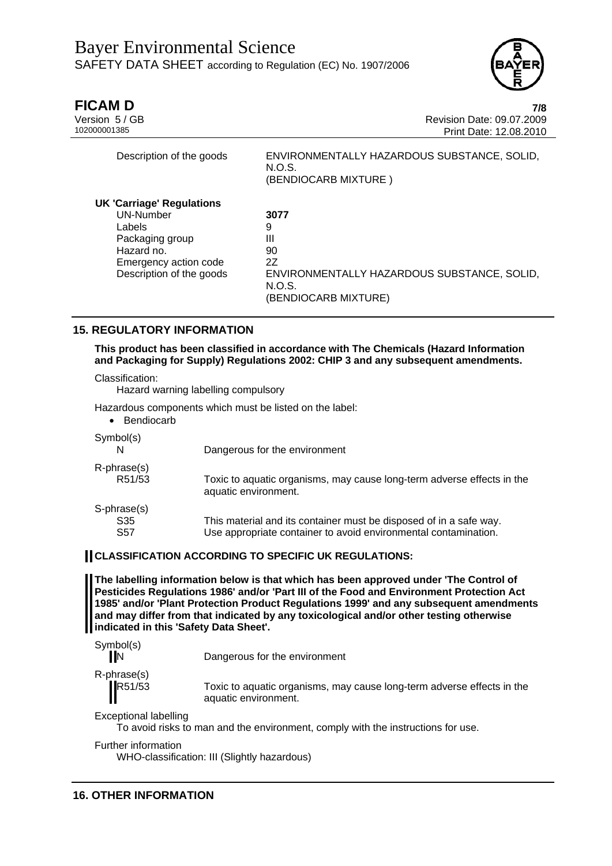

| Description of the goods | ENVIRONMENTALLY HAZARDOUS SUBSTANCE, SOLID,<br>N.O.S.<br>(BENDIOCARB MIXTURE)         |
|--------------------------|---------------------------------------------------------------------------------------|
|                          |                                                                                       |
| UN-Number                | 3077                                                                                  |
| Labels                   | 9                                                                                     |
| Packaging group          | Ш                                                                                     |
| Hazard no.               | 90                                                                                    |
|                          | 27                                                                                    |
|                          | ENVIRONMENTALLY HAZARDOUS SUBSTANCE, SOLID,                                           |
|                          | N.O.S.                                                                                |
|                          | (BENDIOCARB MIXTURE)                                                                  |
|                          | <b>UK 'Carriage' Regulations</b><br>Emergency action code<br>Description of the goods |

Description of the goods ENVIRONMENTALLY HAZARDOUS SUBSTANCE, SOLID,

# **15. REGULATORY INFORMATION**

**This product has been classified in accordance with The Chemicals (Hazard Information and Packaging for Supply) Regulations 2002: CHIP 3 and any subsequent amendments.** 

Classification:

Hazard warning labelling compulsory

Hazardous components which must be listed on the label:

| Bendiocarb                |                                                                                                                                       |
|---------------------------|---------------------------------------------------------------------------------------------------------------------------------------|
| Symbol(s)                 | Dangerous for the environment                                                                                                         |
| R-phrase(s)<br>R51/53     | Toxic to aquatic organisms, may cause long-term adverse effects in the<br>aquatic environment.                                        |
| S-phrase(s)<br>S35<br>S57 | This material and its container must be disposed of in a safe way.<br>Use appropriate container to avoid environmental contamination. |

# **CLASSIFICATION ACCORDING TO SPECIFIC UK REGULATIONS:**

**The labelling information below is that which has been approved under 'The Control of Pesticides Regulations 1986' and/or 'Part III of the Food and Environment Protection Act 1985' and/or 'Plant Protection Product Regulations 1999' and any subsequent amendments and may differ from that indicated by any toxicological and/or other testing otherwise indicated in this 'Safety Data Sheet'.** 

Symbol(s)

IN Dangerous for the environment

R-phrase(s)

R51/53 Toxic to aquatic organisms, may cause long-term adverse effects in the aquatic environment.

Exceptional labelling

To avoid risks to man and the environment, comply with the instructions for use.

Further information

WHO-classification: III (Slightly hazardous)